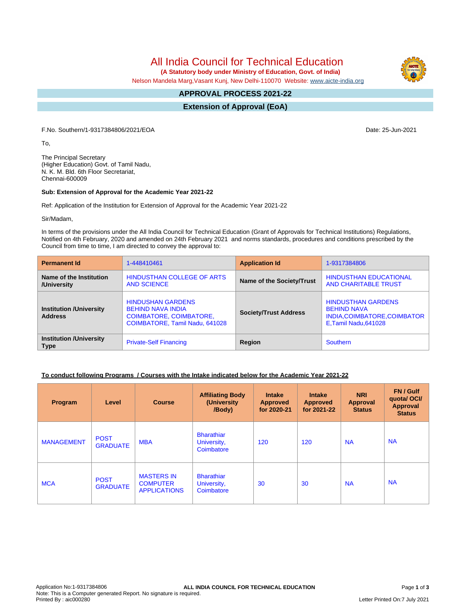All India Council for Technical Education

 **(A Statutory body under Ministry of Education, Govt. of India)**

Nelson Mandela Marg,Vasant Kunj, New Delhi-110070 Website: [www.aicte-india.org](http://www.aicte-india.org)

#### **APPROVAL PROCESS 2021-22 -**

**Extension of Approval (EoA)**

F.No. Southern/1-9317384806/2021/EOA Date: 25-Jun-2021

To,

The Principal Secretary (Higher Education) Govt. of Tamil Nadu, N. K. M. Bld. 6th Floor Secretariat, Chennai-600009

### **Sub: Extension of Approval for the Academic Year 2021-22**

Ref: Application of the Institution for Extension of Approval for the Academic Year 2021-22

Sir/Madam,

In terms of the provisions under the All India Council for Technical Education (Grant of Approvals for Technical Institutions) Regulations, Notified on 4th February, 2020 and amended on 24th February 2021 and norms standards, procedures and conditions prescribed by the Council from time to time, I am directed to convey the approval to:

| <b>Permanent Id</b>                              | 1-448410461                                                                                                              | <b>Application Id</b>        | 1-9317384806                                                                                             |  |
|--------------------------------------------------|--------------------------------------------------------------------------------------------------------------------------|------------------------------|----------------------------------------------------------------------------------------------------------|--|
| Name of the Institution<br>/University           | <b>HINDUSTHAN COLLEGE OF ARTS</b><br><b>AND SCIENCE</b>                                                                  | Name of the Society/Trust    | <b>HINDUSTHAN EDUCATIONAL</b><br><b>AND CHARITABLE TRUST</b>                                             |  |
| <b>Institution /University</b><br><b>Address</b> | <b>HINDUSHAN GARDENS</b><br><b>BEHIND NAVA INDIA</b><br><b>COIMBATORE, COIMBATORE,</b><br>COIMBATORE, Tamil Nadu, 641028 | <b>Society/Trust Address</b> | <b>HINDUSTHAN GARDENS</b><br><b>BEHIND NAVA</b><br>INDIA, COIMBATORE, COIMBATOR<br>E, Tamil Nadu, 641028 |  |
| <b>Institution /University</b><br><b>Type</b>    | <b>Private-Self Financing</b>                                                                                            | Region                       | Southern                                                                                                 |  |

# **To conduct following Programs / Courses with the Intake indicated below for the Academic Year 2021-22**

| Program           | Level                          | <b>Course</b>                                               | <b>Affiliating Body</b><br>(University<br>/Body) | <b>Intake</b><br><b>Approved</b><br>for 2020-21 | <b>Intake</b><br><b>Approved</b><br>for 2021-22 | <b>NRI</b><br><b>Approval</b><br><b>Status</b> | FN / Gulf<br>quotal OCI/<br><b>Approval</b><br><b>Status</b> |
|-------------------|--------------------------------|-------------------------------------------------------------|--------------------------------------------------|-------------------------------------------------|-------------------------------------------------|------------------------------------------------|--------------------------------------------------------------|
| <b>MANAGEMENT</b> | <b>POST</b><br><b>GRADUATE</b> | <b>MBA</b>                                                  | <b>Bharathiar</b><br>University,<br>Coimbatore   | 120                                             | 120                                             | <b>NA</b>                                      | <b>NA</b>                                                    |
| <b>MCA</b>        | <b>POST</b><br><b>GRADUATE</b> | <b>MASTERS IN</b><br><b>COMPUTER</b><br><b>APPLICATIONS</b> | <b>Bharathiar</b><br>University,<br>Coimbatore   | 30                                              | 30                                              | <b>NA</b>                                      | <b>NA</b>                                                    |



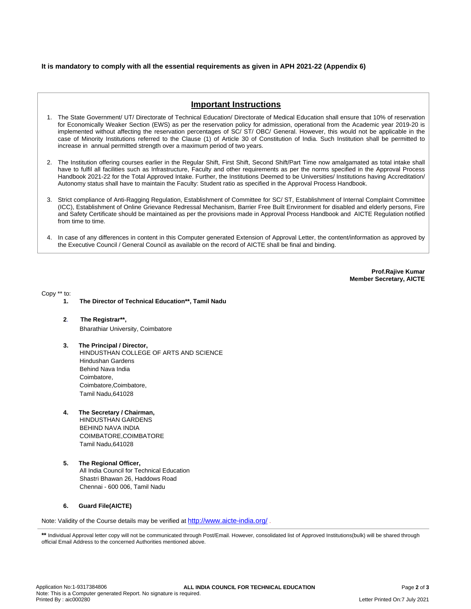# **It is mandatory to comply with all the essential requirements as given in APH 2021-22 (Appendix 6)**

# **Important Instructions**

- 1. The State Government/ UT/ Directorate of Technical Education/ Directorate of Medical Education shall ensure that 10% of reservation for Economically Weaker Section (EWS) as per the reservation policy for admission, operational from the Academic year 2019-20 is implemented without affecting the reservation percentages of SC/ ST/ OBC/ General. However, this would not be applicable in the case of Minority Institutions referred to the Clause (1) of Article 30 of Constitution of India. Such Institution shall be permitted to increase in annual permitted strength over a maximum period of two years.
- 2. The Institution offering courses earlier in the Regular Shift, First Shift, Second Shift/Part Time now amalgamated as total intake shall have to fulfil all facilities such as Infrastructure, Faculty and other requirements as per the norms specified in the Approval Process Handbook 2021-22 for the Total Approved Intake. Further, the Institutions Deemed to be Universities/ Institutions having Accreditation/ Autonomy status shall have to maintain the Faculty: Student ratio as specified in the Approval Process Handbook.
- 3. Strict compliance of Anti-Ragging Regulation, Establishment of Committee for SC/ ST, Establishment of Internal Complaint Committee (ICC), Establishment of Online Grievance Redressal Mechanism, Barrier Free Built Environment for disabled and elderly persons, Fire and Safety Certificate should be maintained as per the provisions made in Approval Process Handbook and AICTE Regulation notified from time to time.
- 4. In case of any differences in content in this Computer generated Extension of Approval Letter, the content/information as approved by the Executive Council / General Council as available on the record of AICTE shall be final and binding.

**Prof.Rajive Kumar Member Secretary, AICTE**

Copy \*\* to:

- **1. The Director of Technical Education\*\*, Tamil Nadu**
- **2**. **The Registrar\*\*,** Bharathiar University, Coimbatore
- **3. The Principal / Director,** HINDUSTHAN COLLEGE OF ARTS AND SCIENCE Hindushan Gardens Behind Nava India Coimbatore, Coimbatore,Coimbatore, Tamil Nadu,641028
- **4. The Secretary / Chairman,**

HINDUSTHAN GARDENS BEHIND NAVA INDIA COIMBATORE,COIMBATORE Tamil Nadu,641028

**5. The Regional Officer,** All India Council for Technical Education Shastri Bhawan 26, Haddows Road Chennai - 600 006, Tamil Nadu

### **6. Guard File(AICTE)**

Note: Validity of the Course details may be verified at <http://www.aicte-india.org/> **.**

<sup>\*\*</sup> Individual Approval letter copy will not be communicated through Post/Email. However, consolidated list of Approved Institutions(bulk) will be shared through official Email Address to the concerned Authorities mentioned above.